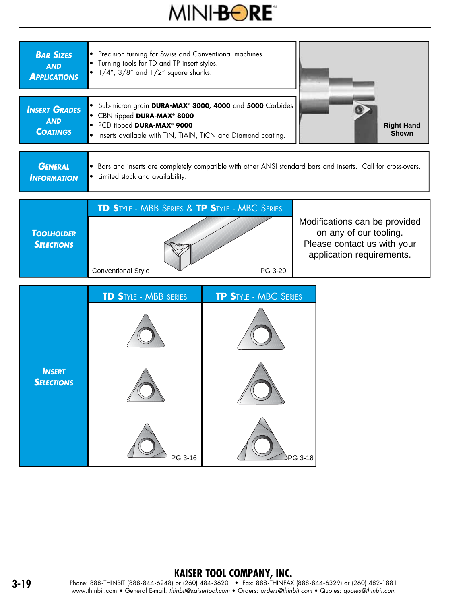



## **KAISER TOOL COMPANY, INC.**